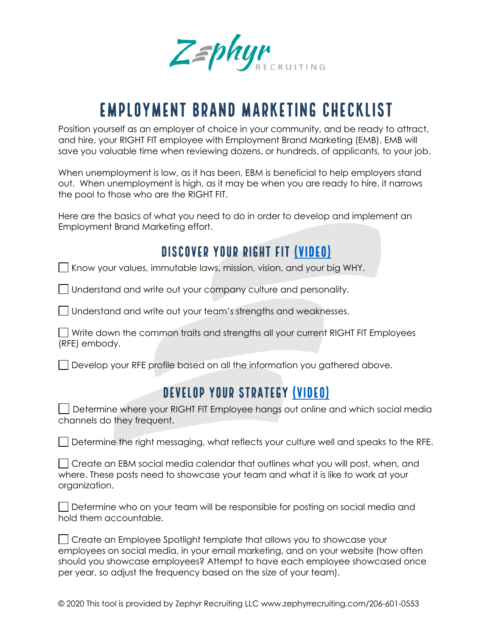ZEphyr

# Employment Brand Marketing Checklist

Position yourself as an employer of choice in your community, and be ready to attract, and hire, your RIGHT FIT employee with Employment Brand Marketing (EMB). EMB will save you valuable time when reviewing dozens, or hundreds, of applicants, to your job.

When unemployment is low, as it has been, EBM is beneficial to help employers stand out. When unemployment is high, as it may be when you are ready to hire, it narrows the pool to those who are the RIGHT FIT.

Here are the basics of what you need to do in order to develop and implement an Employment Brand Marketing effort.

#### Discover your RIGHT FIT (Video)

 $\Box$  Know your values, immutable laws, mission, vision, and your big WHY.

Understand and write out your company culture and personality.

Understand and write out your team's strengths and weaknesses.

Write down the common traits and strengths all your current RIGHT FIT Employees (RFE) embody.

Develop your RFE profile based on all the information you gathered above.

## Develop your Strategy (Video)

Determine where your RIGHT FIT Employee hangs out online and which social media channels do they frequent.

Determine the right messaging, what reflects your culture well and speaks to the RFE.

| $\Box$ Create an EBM social media calendar that outlines what you will post, when, and |
|----------------------------------------------------------------------------------------|
| where. These posts need to showcase your team and what it is like to work at your      |
| organization.                                                                          |

| Determine who on your team will be responsible for posting on social media and |  |
|--------------------------------------------------------------------------------|--|
| hold them accountable.                                                         |  |

| □ Create an Employee Spotlight template that allows you to showcase your           |
|------------------------------------------------------------------------------------|
| employees on social media, in your email marketing, and on your website (how often |
| should you showcase employees? Attempt to have each employee showcased once        |
| per year, so adjust the frequency based on the size of your team).                 |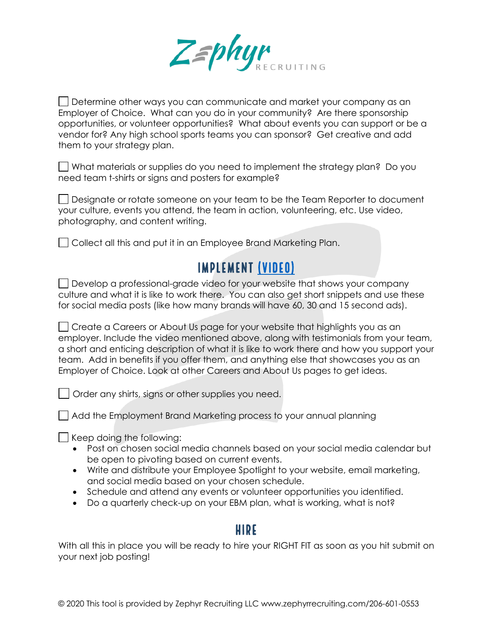

Determine other ways you can communicate and market your company as an Employer of Choice. What can you do in your community? Are there sponsorship opportunities, or volunteer opportunities? What about events you can support or be a vendor for? Any high school sports teams you can sponsor? Get creative and add them to your strategy plan.

What materials or supplies do you need to implement the strategy plan? Do you need team t-shirts or signs and posters for example?

Designate or rotate someone on your team to be the Team Reporter to document your culture, events you attend, the team in action, volunteering, etc. Use video, photography, and content writing.

Collect all this and put it in an Employee Brand Marketing Plan.

## Implement (Video)

Develop a professional-grade video for your website that shows your company culture and what it is like to work there. You can also get short snippets and use these for social media posts (like how many brands will have 60, 30 and 15 second ads).

Create a Careers or About Us page for your website that highlights you as an employer. Include the video mentioned above, along with testimonials from your team, a short and enticing description of what it is like to work there and how you support your team. Add in benefits if you offer them, and anything else that showcases you as an Employer of Choice. Look at other Careers and About Us pages to get ideas.

Order any shirts, signs or other supplies you need.

Add the Employment Brand Marketing process to your annual planning

 $\Box$  Keep doing the following:

- Post on chosen social media channels based on your social media calendar but be open to pivoting based on current events.
- Write and distribute your Employee Spotlight to your website, email marketing, and social media based on your chosen schedule.
- Schedule and attend any events or volunteer opportunities you identified.
- Do a quarterly check-up on your EBM plan, what is working, what is not?

#### **HIRE**

With all this in place you will be ready to hire your RIGHT FIT as soon as you hit submit on your next job posting!